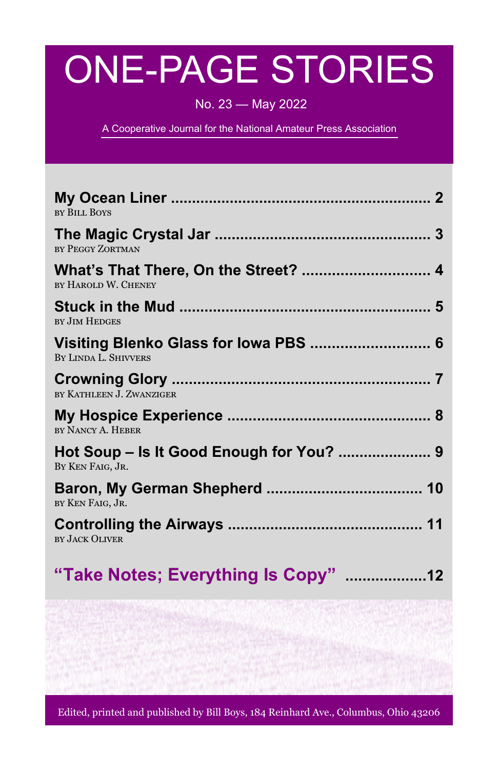# ONE-PAGE STORIES

No. 23 — May 2022

A Cooperative Journal for the National Amateur Press Association

| <b>BY BILL BOYS</b>                                           |
|---------------------------------------------------------------|
| BY PEGGY ZORTMAN                                              |
| What's That There, On the Street?  4<br>BY HAROLD W. CHENEY   |
| <b>BY JIM HEDGES</b>                                          |
| Visiting Blenko Glass for Iowa PBS  6<br>BY LINDA L. SHIVVERS |
| BY KATHLEEN J. ZWANZIGER                                      |
| BY NANCY A. HEBER                                             |
| Hot Soup - Is It Good Enough for You?  9<br>BY KEN FAIG, JR.  |
| BY KEN FAIG, JR.                                              |
| BY JACK OLIVER                                                |
| "Take Notes; Everything Is Copy" 12                           |

Edited, printed and published by Bill Boys, 184 Reinhard Ave., Columbus, Ohio 43206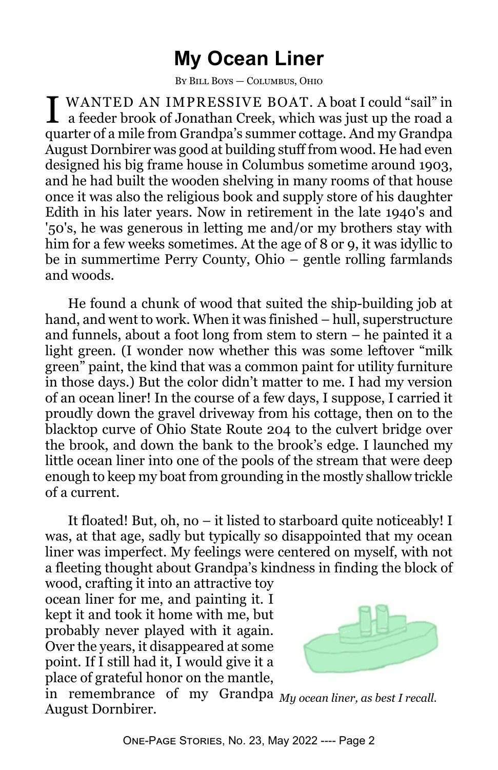# **My Ocean Liner**

By Bill Boys — Columbus, Ohio

I WANTED AN IMPRESSIVE BOAT. A boat I could "sail" in a feeder brook of Jonathan Creek, which was just up the road a quarter of a mile from Grandpa's summer cottage. And my Grandpa August Dornbirer was good at building stuff from wood. He had even designed his big frame house in Columbus sometime around 1903, and he had built the wooden shelving in many rooms of that house once it was also the religious book and supply store of his daughter Edith in his later years. Now in retirement in the late 1940's and '50's, he was generous in letting me and/or my brothers stay with him for a few weeks sometimes. At the age of 8 or 9, it was idyllic to be in summertime Perry County, Ohio – gentle rolling farmlands and woods.

He found a chunk of wood that suited the ship-building job at hand, and went to work. When it was finished – hull, superstructure and funnels, about a foot long from stem to stern – he painted it a light green. (I wonder now whether this was some leftover "milk green" paint, the kind that was a common paint for utility furniture in those days.) But the color didn't matter to me. I had my version of an ocean liner! In the course of a few days, I suppose, I carried it proudly down the gravel driveway from his cottage, then on to the blacktop curve of Ohio State Route 204 to the culvert bridge over the brook, and down the bank to the brook's edge. I launched my little ocean liner into one of the pools of the stream that were deep enough to keep my boat from grounding in the mostly shallow trickle of a current.

It floated! But, oh, no – it listed to starboard quite noticeably! I was, at that age, sadly but typically so disappointed that my ocean liner was imperfect. My feelings were centered on myself, with not a fleeting thought about Grandpa's kindness in finding the block of

wood, crafting it into an attractive toy ocean liner for me, and painting it. I kept it and took it home with me, but probably never played with it again. Over the years, it disappeared at some point. If I still had it, I would give it a place of grateful honor on the mantle,



in remembrance of my Grandpa *My ocean liner, as best I recall.*August Dornbirer.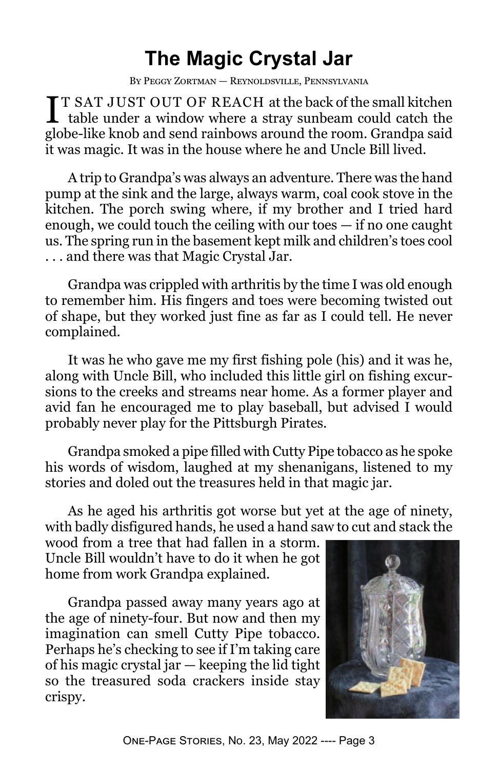# **The Magic Crystal Jar**

By Peggy Zortman — Reynoldsville, Pennsylvania

**T** T SAT JUST OUT OF REACH at the back of the small kitchen table under a window where a stray sunbeam could catch the T SAT JUST OUT OF REACH at the back of the small kitchen globe-like knob and send rainbows around the room. Grandpa said it was magic. It was in the house where he and Uncle Bill lived.

A trip to Grandpa's was always an adventure. There was the hand pump at the sink and the large, always warm, coal cook stove in the kitchen. The porch swing where, if my brother and I tried hard enough, we could touch the ceiling with our toes — if no one caught us. The spring run in the basement kept milk and children's toes cool . . . and there was that Magic Crystal Jar.

Grandpa was crippled with arthritis by the time I was old enough to remember him. His fingers and toes were becoming twisted out of shape, but they worked just fine as far as I could tell. He never complained.

It was he who gave me my first fishing pole (his) and it was he, along with Uncle Bill, who included this little girl on fishing excursions to the creeks and streams near home. As a former player and avid fan he encouraged me to play baseball, but advised I would probably never play for the Pittsburgh Pirates.

Grandpa smoked a pipe filled with Cutty Pipe tobacco as he spoke his words of wisdom, laughed at my shenanigans, listened to my stories and doled out the treasures held in that magic jar.

As he aged his arthritis got worse but yet at the age of ninety, with badly disfigured hands, he used a hand saw to cut and stack the

wood from a tree that had fallen in a storm. Uncle Bill wouldn't have to do it when he got home from work Grandpa explained.

Grandpa passed away many years ago at the age of ninety-four. But now and then my imagination can smell Cutty Pipe tobacco. Perhaps he's checking to see if I'm taking care of his magic crystal jar — keeping the lid tight so the treasured soda crackers inside stay crispy.

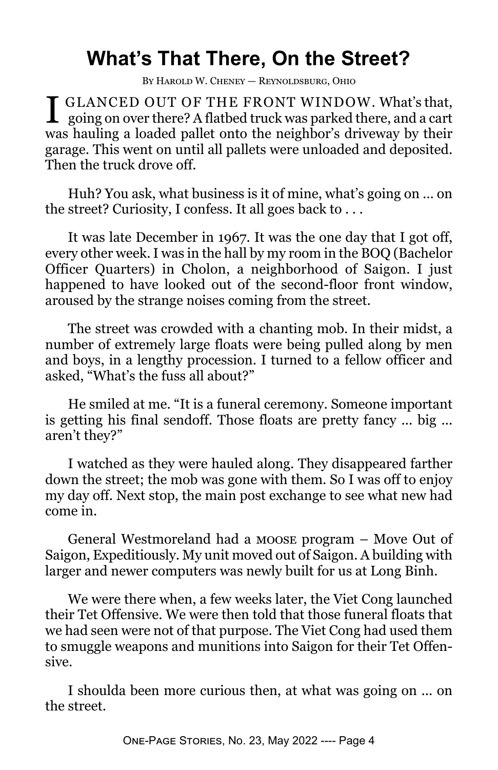# **What's That There, On the Street?**

By Harold W. Cheney — Reynoldsburg, Ohio

I GLANCED OUT OF THE FRONT WINDOW. What's that, going on over there? A flatbed truck was parked there, and a cart **T** GLANCED OUT OF THE FRONT WINDOW. What's that, was hauling a loaded pallet onto the neighbor's driveway by their garage. This went on until all pallets were unloaded and deposited. Then the truck drove off.

Huh? You ask, what business is it of mine, what's going on … on the street? Curiosity, I confess. It all goes back to . . .

It was late December in 1967. It was the one day that I got off, every other week. I was in the hall by my room in the BOQ (Bachelor Officer Quarters) in Cholon, a neighborhood of Saigon. I just happened to have looked out of the second-floor front window, aroused by the strange noises coming from the street.

The street was crowded with a chanting mob. In their midst, a number of extremely large floats were being pulled along by men and boys, in a lengthy procession. I turned to a fellow officer and asked, "What's the fuss all about?"

He smiled at me. "It is a funeral ceremony. Someone important is getting his final sendoff. Those floats are pretty fancy ... big ... aren't they?"

I watched as they were hauled along. They disappeared farther down the street; the mob was gone with them. So I was off to enjoy my day off. Next stop, the main post exchange to see what new had come in.

General Westmoreland had a moose program – Move Out of Saigon, Expeditiously. My unit moved out of Saigon. A building with larger and newer computers was newly built for us at Long Binh.

We were there when, a few weeks later, the Viet Cong launched their Tet Offensive. We were then told that those funeral floats that we had seen were not of that purpose. The Viet Cong had used them to smuggle weapons and munitions into Saigon for their Tet Offensive.

I shoulda been more curious then, at what was going on ... on the street.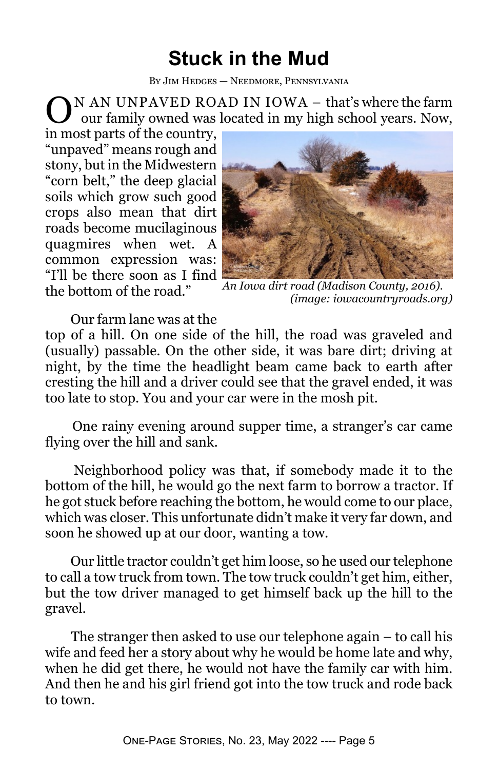# **Stuck in the Mud**

By Jim Hedges — Needmore, Pennsylvania

O N AN UNPAVED ROAD IN IOWA – that's where the farm our family owned was located in my high school years. Now,

in most parts of the country, "unpaved" means rough and stony, but in the Midwestern "corn belt," the deep glacial soils which grow such good crops also mean that dirt roads become mucilaginous quagmires when wet. A common expression was: "I'll be there soon as I find the bottom of the road."



*An Iowa dirt road (Madison County, 2016). (image: iowacountryroads.org)*

Our farm lane was at the

top of a hill. On one side of the hill, the road was graveled and (usually) passable. On the other side, it was bare dirt; driving at night, by the time the headlight beam came back to earth after cresting the hill and a driver could see that the gravel ended, it was too late to stop. You and your car were in the mosh pit.

 One rainy evening around supper time, a stranger's car came flying over the hill and sank.

 Neighborhood policy was that, if somebody made it to the bottom of the hill, he would go the next farm to borrow a tractor. If he got stuck before reaching the bottom, he would come to our place, which was closer. This unfortunate didn't make it very far down, and soon he showed up at our door, wanting a tow.

 Our little tractor couldn't get him loose, so he used our telephone to call a tow truck from town. The tow truck couldn't get him, either, but the tow driver managed to get himself back up the hill to the gravel.

 The stranger then asked to use our telephone again – to call his wife and feed her a story about why he would be home late and why, when he did get there, he would not have the family car with him. And then he and his girl friend got into the tow truck and rode back to town.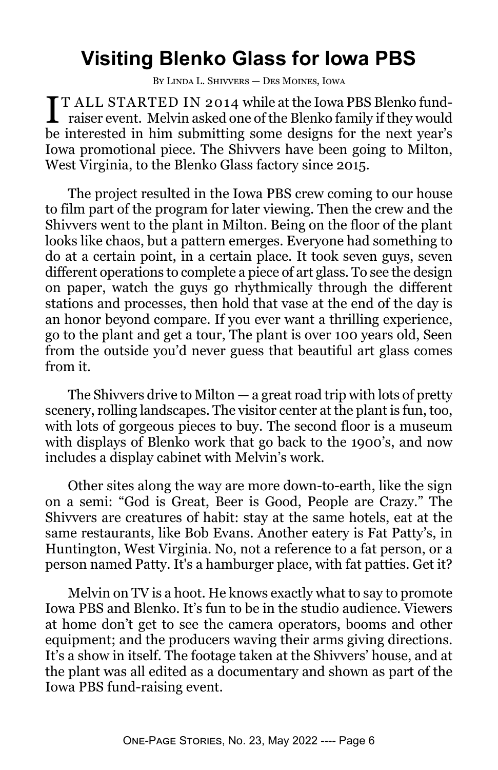# **Visiting Blenko Glass for Iowa PBS**

By Linda L. Shivvers — Des Moines, Iowa

I T ALL STARTED IN 2014 while at the Iowa PBS Blenko fund-<br>raiser event. Melvin asked one of the Blenko family if they would **TT ALL STARTED IN 2014 while at the Iowa PBS Blenko fund**be interested in him submitting some designs for the next year's Iowa promotional piece. The Shivvers have been going to Milton, West Virginia, to the Blenko Glass factory since 2015.

The project resulted in the Iowa PBS crew coming to our house to film part of the program for later viewing. Then the crew and the Shivvers went to the plant in Milton. Being on the floor of the plant looks like chaos, but a pattern emerges. Everyone had something to do at a certain point, in a certain place. It took seven guys, seven different operations to complete a piece of art glass. To see the design on paper, watch the guys go rhythmically through the different stations and processes, then hold that vase at the end of the day is an honor beyond compare. If you ever want a thrilling experience, go to the plant and get a tour, The plant is over 100 years old, Seen from the outside you'd never guess that beautiful art glass comes from it.

The Shivvers drive to Milton  $-$  a great road trip with lots of pretty scenery, rolling landscapes. The visitor center at the plant is fun, too, with lots of gorgeous pieces to buy. The second floor is a museum with displays of Blenko work that go back to the 1900's, and now includes a display cabinet with Melvin's work.

Other sites along the way are more down-to-earth, like the sign on a semi: "God is Great, Beer is Good, People are Crazy." The Shivvers are creatures of habit: stay at the same hotels, eat at the same restaurants, like Bob Evans. Another eatery is Fat Patty's, in Huntington, West Virginia. No, not a reference to a fat person, or a person named Patty. It's a hamburger place, with fat patties. Get it?

Melvin on TV is a hoot. He knows exactly what to say to promote Iowa PBS and Blenko. It's fun to be in the studio audience. Viewers at home don't get to see the camera operators, booms and other equipment; and the producers waving their arms giving directions. It's a show in itself. The footage taken at the Shivvers' house, and at the plant was all edited as a documentary and shown as part of the Iowa PBS fund-raising event.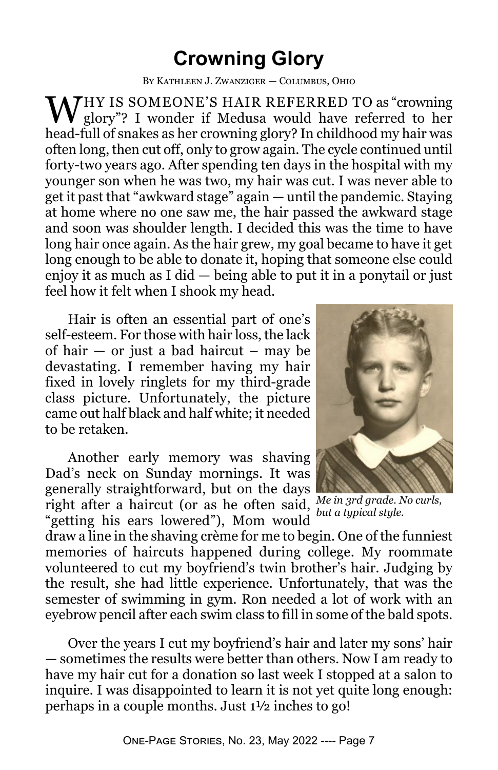#### **Crowning Glory**

By Kathleen J. Zwanziger — Columbus, Ohio

WHY IS SOMEONE'S HAIR REFERRED TO as "crowning"  $\bf{V}$  glory"? I wonder if Medusa would have referred to her head-full of snakes as her crowning glory? In childhood my hair was often long, then cut off, only to grow again. The cycle continued until forty-two years ago. After spending ten days in the hospital with my younger son when he was two, my hair was cut. I was never able to get it past that "awkward stage" again — until the pandemic. Staying at home where no one saw me, the hair passed the awkward stage and soon was shoulder length. I decided this was the time to have long hair once again. As the hair grew, my goal became to have it get long enough to be able to donate it, hoping that someone else could enjoy it as much as I did — being able to put it in a ponytail or just feel how it felt when I shook my head.

Hair is often an essential part of one's self-esteem. For those with hair loss, the lack of hair  $-$  or just a bad haircut – may be devastating. I remember having my hair fixed in lovely ringlets for my third-grade class picture. Unfortunately, the picture came out half black and half white; it needed to be retaken.

Another early memory was shaving Dad's neck on Sunday mornings. It was generally straightforward, but on the days right after a haircut (or as he often said, *Me in 3rd grade. No curls,* "getting his ears lowered"), Mom would



*but a typical style.*

draw a line in the shaving crème for me to begin. One of the funniest memories of haircuts happened during college. My roommate volunteered to cut my boyfriend's twin brother's hair. Judging by the result, she had little experience. Unfortunately, that was the semester of swimming in gym. Ron needed a lot of work with an eyebrow pencil after each swim class to fill in some of the bald spots.

Over the years I cut my boyfriend's hair and later my sons' hair — sometimes the results were better than others. Now I am ready to have my hair cut for a donation so last week I stopped at a salon to inquire. I was disappointed to learn it is not yet quite long enough: perhaps in a couple months. Just 1½ inches to go!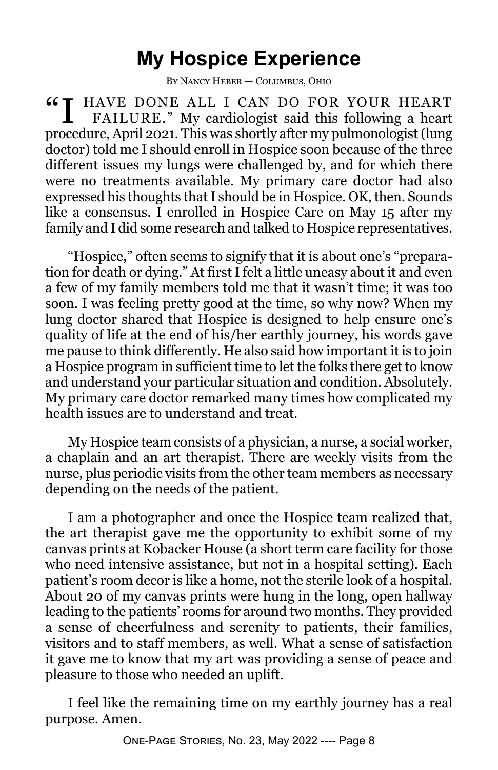#### **My Hospice Experience**

By Nancy Heber — Columbus, Ohio

"I HAVE DONE ALL I CAN DO FOR YOUR HEART FAILURE." My cardiologist said this following a heart procedure, April 2021. This was shortly after my pulmonologist (lung doctor) told me I should enroll in Hospice soon because of the three different issues my lungs were challenged by, and for which there were no treatments available. My primary care doctor had also expressed his thoughts that I should be in Hospice. OK, then. Sounds like a consensus. I enrolled in Hospice Care on May 15 after my family and I did some research and talked to Hospice representatives.

"Hospice," often seems to signify that it is about one's "preparation for death or dying." At first I felt a little uneasy about it and even a few of my family members told me that it wasn't time; it was too soon. I was feeling pretty good at the time, so why now? When my lung doctor shared that Hospice is designed to help ensure one's quality of life at the end of his/her earthly journey, his words gave me pause to think differently. He also said how important it is to join a Hospice program in sufficient time to let the folks there get to know and understand your particular situation and condition. Absolutely. My primary care doctor remarked many times how complicated my health issues are to understand and treat.

My Hospice team consists of a physician, a nurse, a social worker, a chaplain and an art therapist. There are weekly visits from the nurse, plus periodic visits from the other team members as necessary depending on the needs of the patient.

I am a photographer and once the Hospice team realized that, the art therapist gave me the opportunity to exhibit some of my canvas prints at Kobacker House (a short term care facility for those who need intensive assistance, but not in a hospital setting). Each patient's room decor is like a home, not the sterile look of a hospital. About 20 of my canvas prints were hung in the long, open hallway leading to the patients' rooms for around two months. They provided a sense of cheerfulness and serenity to patients, their families, visitors and to staff members, as well. What a sense of satisfaction it gave me to know that my art was providing a sense of peace and pleasure to those who needed an uplift.

I feel like the remaining time on my earthly journey has a real purpose. Amen.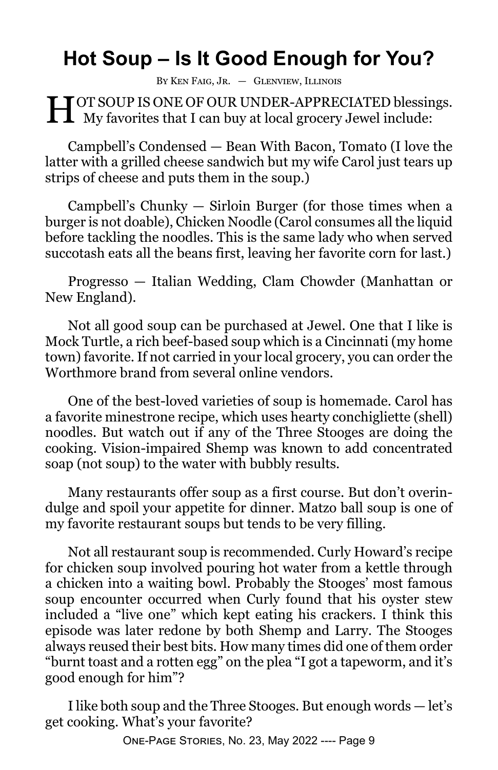# **Hot Soup – Is It Good Enough for You?**

By Ken Faig, Jr. — Glenview, Illinois

H OT SOUP IS ONE OF OUR UNDER-APPRECIATED blessir<br>My favorites that I can buy at local grocery Jewel include: **T**OT SOUP IS ONE OF OUR UNDER-APPRECIATED blessings.

Campbell's Condensed — Bean With Bacon, Tomato (I love the latter with a grilled cheese sandwich but my wife Carol just tears up strips of cheese and puts them in the soup.)

Campbell's Chunky — Sirloin Burger (for those times when a burger is not doable), Chicken Noodle (Carol consumes all the liquid before tackling the noodles. This is the same lady who when served succotash eats all the beans first, leaving her favorite corn for last.)

Progresso — Italian Wedding, Clam Chowder (Manhattan or New England).

Not all good soup can be purchased at Jewel. One that I like is Mock Turtle, a rich beef-based soup which is a Cincinnati (my home town) favorite. If not carried in your local grocery, you can order the Worthmore brand from several online vendors.

One of the best-loved varieties of soup is homemade. Carol has a favorite minestrone recipe, which uses hearty conchigliette (shell) noodles. But watch out if any of the Three Stooges are doing the cooking. Vision-impaired Shemp was known to add concentrated soap (not soup) to the water with bubbly results.

Many restaurants offer soup as a first course. But don't overindulge and spoil your appetite for dinner. Matzo ball soup is one of my favorite restaurant soups but tends to be very filling.

Not all restaurant soup is recommended. Curly Howard's recipe for chicken soup involved pouring hot water from a kettle through a chicken into a waiting bowl. Probably the Stooges' most famous soup encounter occurred when Curly found that his oyster stew included a "live one" which kept eating his crackers. I think this episode was later redone by both Shemp and Larry. The Stooges always reused their best bits. How many times did one of them order "burnt toast and a rotten egg" on the plea "I got a tapeworm, and it's good enough for him"?

I like both soup and the Three Stooges. But enough words — let's get cooking. What's your favorite?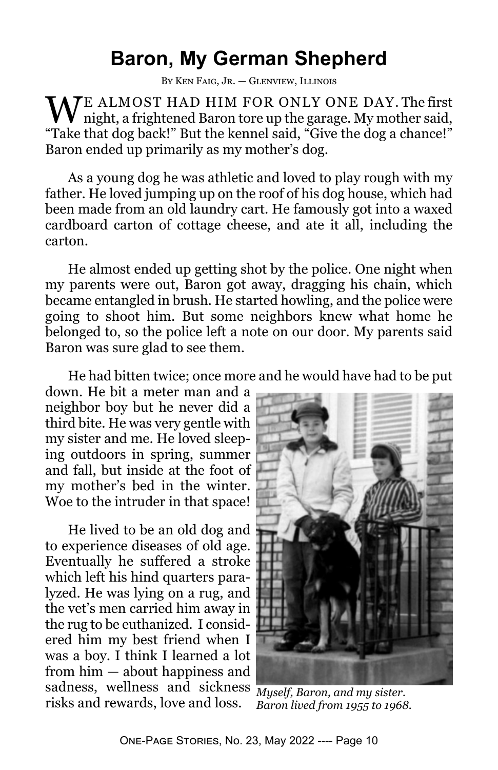#### **Baron, My German Shepherd**

By Ken Faig, Jr. — Glenview, Illinois

WE ALMOST HAD HIM FOR ONLY ONE DAY. The first night, a frightened Baron tore up the garage. My mother said, "Take that dog back!" But the kennel said, "Give the dog a chance!" Baron ended up primarily as my mother's dog.

As a young dog he was athletic and loved to play rough with my father. He loved jumping up on the roof of his dog house, which had been made from an old laundry cart. He famously got into a waxed cardboard carton of cottage cheese, and ate it all, including the carton.

He almost ended up getting shot by the police. One night when my parents were out, Baron got away, dragging his chain, which became entangled in brush. He started howling, and the police were going to shoot him. But some neighbors knew what home he belonged to, so the police left a note on our door. My parents said Baron was sure glad to see them.

He had bitten twice; once more and he would have had to be put

down. He bit a meter man and a neighbor boy but he never did a third bite. He was very gentle with my sister and me. He loved sleeping outdoors in spring, summer and fall, but inside at the foot of my mother's bed in the winter. Woe to the intruder in that space!

He lived to be an old dog and to experience diseases of old age. Eventually he suffered a stroke which left his hind quarters paralyzed. He was lying on a rug, and the vet's men carried him away in the rug to be euthanized. I considered him my best friend when I was a boy. I think I learned a lot from him — about happiness and sadness, wellness and sickness *Myself, Baron, and my sister.* risks and rewards, love and loss.



*Baron lived from 1955 to 1968.*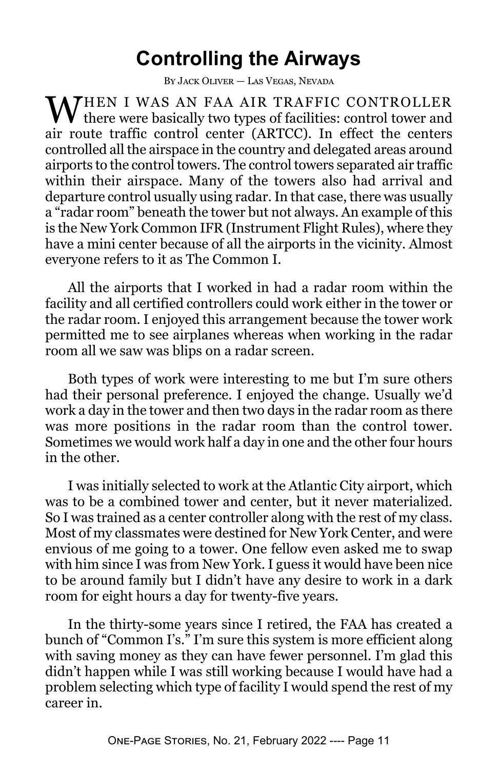## **Controlling the Airways**

By Jack Oliver — Las Vegas, Nevada

WHEN I WAS AN FAA AIR TRAFFIC CONTROLLER there were basically two types of facilities: control tower and air route traffic control center (ARTCC). In effect the centers controlled all the airspace in the country and delegated areas around airports to the control towers. The control towers separated air traffic within their airspace. Many of the towers also had arrival and departure control usually using radar. In that case, there was usually a "radar room" beneath the tower but not always. An example of this is the New York Common IFR (Instrument Flight Rules), where they have a mini center because of all the airports in the vicinity. Almost everyone refers to it as The Common I.

All the airports that I worked in had a radar room within the facility and all certified controllers could work either in the tower or the radar room. I enjoyed this arrangement because the tower work permitted me to see airplanes whereas when working in the radar room all we saw was blips on a radar screen.

Both types of work were interesting to me but I'm sure others had their personal preference. I enjoyed the change. Usually we'd work a day in the tower and then two days in the radar room as there was more positions in the radar room than the control tower. Sometimes we would work half a day in one and the other four hours in the other.

I was initially selected to work at the Atlantic City airport, which was to be a combined tower and center, but it never materialized. So I was trained as a center controller along with the rest of my class. Most of my classmates were destined for New York Center, and were envious of me going to a tower. One fellow even asked me to swap with him since I was from New York. I guess it would have been nice to be around family but I didn't have any desire to work in a dark room for eight hours a day for twenty-five years.

In the thirty-some years since I retired, the FAA has created a bunch of "Common I's." I'm sure this system is more efficient along with saving money as they can have fewer personnel. I'm glad this didn't happen while I was still working because I would have had a problem selecting which type of facility I would spend the rest of my career in.